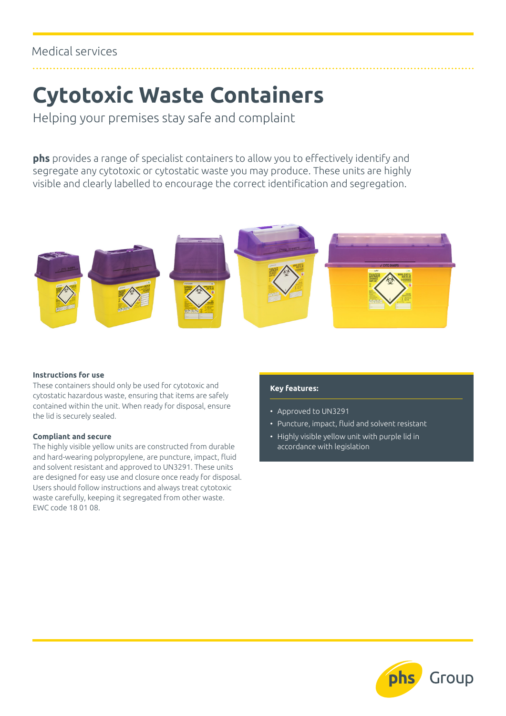## **Cytotoxic Waste Containers**

Helping your premises stay safe and complaint

**phs** provides a range of specialist containers to allow you to effectively identify and segregate any cytotoxic or cytostatic waste you may produce. These units are highly visible and clearly labelled to encourage the correct identification and segregation.



#### **Instructions for use**

These containers should only be used for cytotoxic and cytostatic hazardous waste, ensuring that items are safely contained within the unit. When ready for disposal, ensure the lid is securely sealed.

#### **Compliant and secure**

The highly visible yellow units are constructed from durable and hard-wearing polypropylene, are puncture, impact, fluid and solvent resistant and approved to UN3291. These units are designed for easy use and closure once ready for disposal. Users should follow instructions and always treat cytotoxic waste carefully, keeping it segregated from other waste. EWC code 18 01 08.

#### **Key features:**

- Approved to UN3291
- Puncture, impact, fluid and solvent resistant
- Highly visible yellow unit with purple lid in accordance with legislation